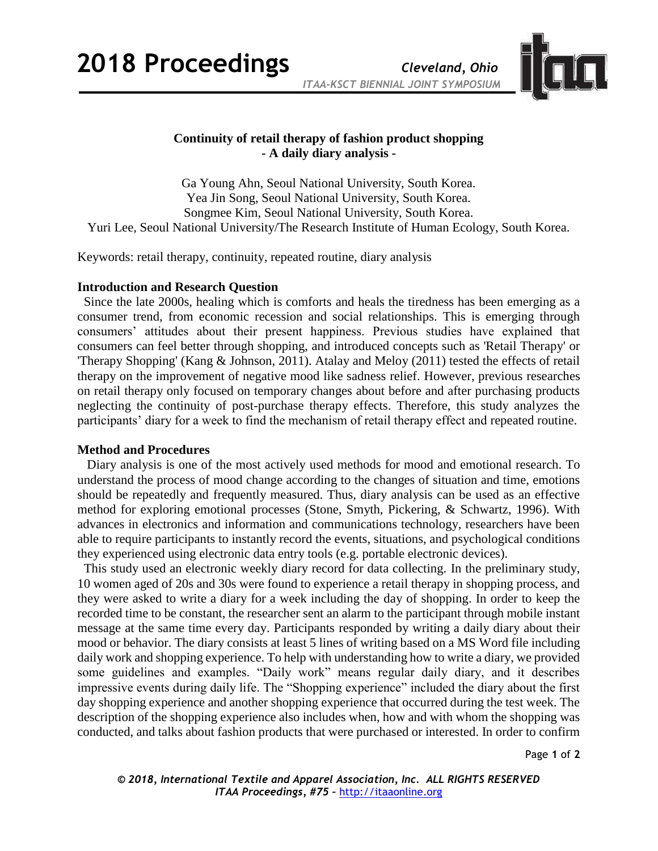**2018 Proceedings** *Cleveland, Ohio*



## **Continuity of retail therapy of fashion product shopping - A daily diary analysis -**

Ga Young Ahn, Seoul National University, South Korea. Yea Jin Song, Seoul National University, South Korea. Songmee Kim, Seoul National University, South Korea. Yuri Lee, Seoul National University/The Research Institute of Human Ecology, South Korea.

Keywords: retail therapy, continuity, repeated routine, diary analysis

## **Introduction and Research Question**

 Since the late 2000s, healing which is comforts and heals the tiredness has been emerging as a consumer trend, from economic recession and social relationships. This is emerging through consumers' attitudes about their present happiness. Previous studies have explained that consumers can feel better through shopping, and introduced concepts such as 'Retail Therapy' or 'Therapy Shopping' (Kang & Johnson, 2011). Atalay and Meloy (2011) tested the effects of retail therapy on the improvement of negative mood like sadness relief. However, previous researches on retail therapy only focused on temporary changes about before and after purchasing products neglecting the continuity of post-purchase therapy effects. Therefore, this study analyzes the participants' diary for a week to find the mechanism of retail therapy effect and repeated routine.

## **Method and Procedures**

Diary analysis is one of the most actively used methods for mood and emotional research. To understand the process of mood change according to the changes of situation and time, emotions should be repeatedly and frequently measured. Thus, diary analysis can be used as an effective method for exploring emotional processes (Stone, Smyth, Pickering, & Schwartz, 1996). With advances in electronics and information and communications technology, researchers have been able to require participants to instantly record the events, situations, and psychological conditions they experienced using electronic data entry tools (e.g. portable electronic devices).

This study used an electronic weekly diary record for data collecting. In the preliminary study, 10 women aged of 20s and 30s were found to experience a retail therapy in shopping process, and they were asked to write a diary for a week including the day of shopping. In order to keep the recorded time to be constant, the researcher sent an alarm to the participant through mobile instant message at the same time every day. Participants responded by writing a daily diary about their mood or behavior. The diary consists at least 5 lines of writing based on a MS Word file including daily work and shopping experience. To help with understanding how to write a diary, we provided some guidelines and examples. "Daily work" means regular daily diary, and it describes impressive events during daily life. The "Shopping experience" included the diary about the first day shopping experience and another shopping experience that occurred during the test week. The description of the shopping experience also includes when, how and with whom the shopping was conducted, and talks about fashion products that were purchased or interested. In order to confirm

Page **1** of **2**